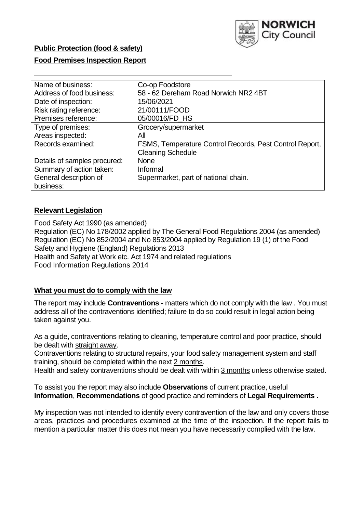

## **Public Protection (food & safety)**

## **Food Premises Inspection Report**

| Name of business:            | Co-op Foodstore                                         |
|------------------------------|---------------------------------------------------------|
| Address of food business:    | 58 - 62 Dereham Road Norwich NR2 4BT                    |
| Date of inspection:          | 15/06/2021                                              |
| Risk rating reference:       | 21/00111/FOOD                                           |
| Premises reference:          | 05/00016/FD_HS                                          |
| Type of premises:            | Grocery/supermarket                                     |
| Areas inspected:             | All                                                     |
| Records examined:            | FSMS, Temperature Control Records, Pest Control Report, |
|                              | <b>Cleaning Schedule</b>                                |
| Details of samples procured: | None                                                    |
| Summary of action taken:     | Informal                                                |
| General description of       | Supermarket, part of national chain.                    |
| business:                    |                                                         |

## **Relevant Legislation**

 Food Safety Act 1990 (as amended) Regulation (EC) No 178/2002 applied by The General Food Regulations 2004 (as amended) Regulation (EC) No 852/2004 and No 853/2004 applied by Regulation 19 (1) of the Food Safety and Hygiene (England) Regulations 2013 Health and Safety at Work etc. Act 1974 and related regulations Food Information Regulations 2014

#### **What you must do to comply with the law**

 The report may include **Contraventions** - matters which do not comply with the law . You must address all of the contraventions identified; failure to do so could result in legal action being taken against you.

 As a guide, contraventions relating to cleaning, temperature control and poor practice, should be dealt with straight away.

 Contraventions relating to structural repairs, your food safety management system and staff training, should be completed within the next 2 months.

Health and safety contraventions should be dealt with within 3 months unless otherwise stated.

 To assist you the report may also include **Observations** of current practice, useful **Information**, **Recommendations** of good practice and reminders of **Legal Requirements .** 

 My inspection was not intended to identify every contravention of the law and only covers those areas, practices and procedures examined at the time of the inspection. If the report fails to mention a particular matter this does not mean you have necessarily complied with the law.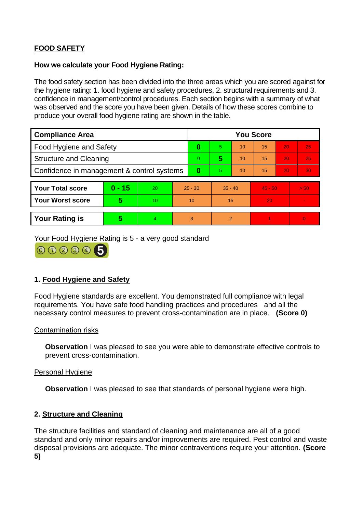# **FOOD SAFETY**

## **How we calculate your Food Hygiene Rating:**

 The food safety section has been divided into the three areas which you are scored against for the hygiene rating: 1. food hygiene and safety procedures, 2. structural requirements and 3. confidence in management/control procedures. Each section begins with a summary of what was observed and the score you have been given. Details of how these scores combine to produce your overall food hygiene rating are shown in the table.

| <b>Compliance Area</b>                     |          |           |           | <b>You Score</b> |                |    |           |    |                |  |  |
|--------------------------------------------|----------|-----------|-----------|------------------|----------------|----|-----------|----|----------------|--|--|
| <b>Food Hygiene and Safety</b>             |          |           |           | 0                | 5.             | 10 | 15        | 20 | 25             |  |  |
| <b>Structure and Cleaning</b>              |          |           | $\Omega$  | 5                | 10             | 15 | 20        | 25 |                |  |  |
| Confidence in management & control systems |          |           | $\bf{0}$  | 5                | 10             | 15 | 20        | 30 |                |  |  |
|                                            |          |           |           |                  |                |    |           |    |                |  |  |
| <b>Your Total score</b>                    | $0 - 15$ | <b>20</b> | $25 - 30$ |                  | $35 - 40$      |    | $45 - 50$ |    | > 50           |  |  |
| <b>Your Worst score</b>                    | 5        | 10        | 10        |                  | 15             |    | 20        |    | $\blacksquare$ |  |  |
|                                            |          |           |           |                  |                |    |           |    |                |  |  |
| <b>Your Rating is</b>                      | 5        | 4.        | 3         |                  | $\overline{2}$ |    |           |    | $\overline{0}$ |  |  |

Your Food Hygiene Rating is 5 - a very good standard



## **1. Food Hygiene and Safety**

 requirements. You have safe food handling practices and procedures and all the Food Hygiene standards are excellent. You demonstrated full compliance with legal necessary control measures to prevent cross-contamination are in place. **(Score 0)** 

## Contamination risks

**Observation** I was pleased to see you were able to demonstrate effective controls to prevent cross-contamination.

## Personal Hygiene

**Observation** I was pleased to see that standards of personal hygiene were high.

## **2. Structure and Cleaning**

The structure facilities and standard of cleaning and maintenance are all of a good standard and only minor repairs and/or improvements are required. Pest control and waste disposal provisions are adequate. The minor contraventions require your attention. **(Score 5)**